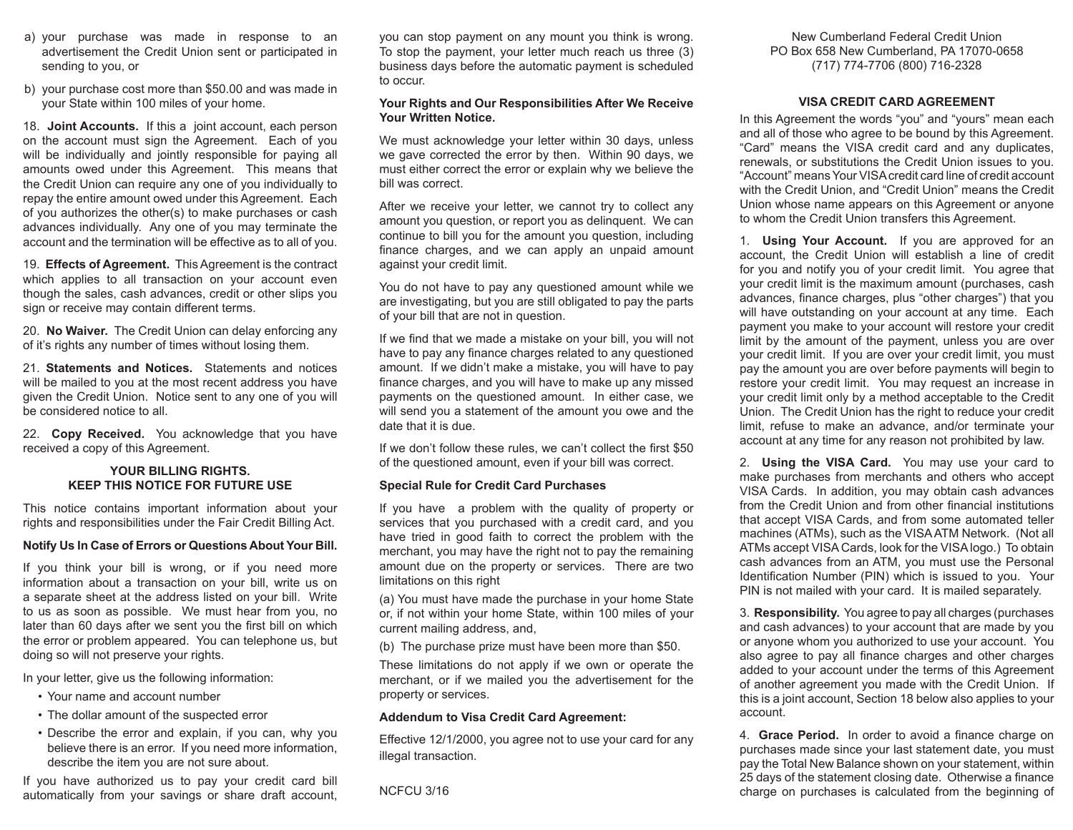- a) your purchase was made in response to an advertisement the Credit Union sent or participated in sending to you, or
- b) your purchase cost more than \$50.00 and was made in your State within 100 miles of your home.

18. **Joint Accounts.** If this a joint account, each person on the account must sign the Agreement. Each of you will be individually and jointly responsible for paying all amounts owed under this Agreement. This means that the Credit Union can require any one of you individually to repay the entire amount owed under this Agreement. Each of you authorizes the other(s) to make purchases or cash advances individually. Any one of you may terminate the account and the termination will be effective as to all of you.

19. **Effects of Agreement.** This Agreement is the contract which applies to all transaction on your account even though the sales, cash advances, credit or other slips you sign or receive may contain different terms.

20. **No Waiver.** The Credit Union can delay enforcing any of it's rights any number of times without losing them.

21. **Statements and Notices.** Statements and notices will be mailed to you at the most recent address you have given the Credit Union. Notice sent to any one of you will be considered notice to all.

22. **Copy Received.** You acknowledge that you have received a copy of this Agreement.

## **YOUR BILLING RIGHTS. KEEP THIS NOTICE FOR FUTURE USE**

This notice contains important information about your rights and responsibilities under the Fair Credit Billing Act.

### **Notify Us In Case of Errors or Questions About Your Bill.**

If you think your bill is wrong, or if you need more information about a transaction on your bill, write us on a separate sheet at the address listed on your bill. Write to us as soon as possible. We must hear from you, no later than 60 days after we sent you the first bill on which the error or problem appeared. You can telephone us, but doing so will not preserve your rights.

In your letter, give us the following information:

- Your name and account number
- The dollar amount of the suspected error
- Describe the error and explain, if you can, why you believe there is an error. If you need more information, describe the item you are not sure about.

If you have authorized us to pay your credit card bill automatically from your savings or share draft account, you can stop payment on any mount you think is wrong. To stop the payment, your letter much reach us three (3) business days before the automatic payment is scheduled to occur.

#### **Your Rights and Our Responsibilities After We Receive Your Written Notice.**

We must acknowledge your letter within 30 days, unless we gave corrected the error by then. Within 90 days, we must either correct the error or explain why we believe the bill was correct.

After we receive your letter, we cannot try to collect any amount you question, or report you as delinquent. We can continue to bill you for the amount you question, including finance charges, and we can apply an unpaid amount against your credit limit.

You do not have to pay any questioned amount while we are investigating, but you are still obligated to pay the parts of your bill that are not in question.

If we find that we made a mistake on your bill, you will not have to pay any finance charges related to any questioned amount. If we didn't make a mistake, you will have to pay finance charges, and you will have to make up any missed payments on the questioned amount. In either case, we will send you a statement of the amount you owe and the date that it is due.

If we don't follow these rules, we can't collect the first \$50 of the questioned amount, even if your bill was correct.

# **Special Rule for Credit Card Purchases**

If you have a problem with the quality of property or services that you purchased with a credit card, and you have tried in good faith to correct the problem with the merchant, you may have the right not to pay the remaining amount due on the property or services. There are two limitations on this right

(a) You must have made the purchase in your home State or, if not within your home State, within 100 miles of your current mailing address, and,

(b) The purchase prize must have been more than \$50.

These limitations do not apply if we own or operate the merchant, or if we mailed you the advertisement for the property or services.

# **Addendum to Visa Credit Card Agreement:**

Effective 12/1/2000, you agree not to use your card for any illegal transaction.

New Cumberland Federal Credit Union PO Box 658 New Cumberland, PA 17070-0658 (717) 774-7706 (800) 716-2328

# **VISA CREDIT CARD AGREEMENT**

In this Agreement the words "you" and "yours" mean each and all of those who agree to be bound by this Agreement. "Card" means the VISA credit card and any duplicates, renewals, or substitutions the Credit Union issues to you. "Account" means Your VISA credit card line of credit account with the Credit Union, and "Credit Union" means the Credit Union whose name appears on this Agreement or anyone to whom the Credit Union transfers this Agreement.

1. **Using Your Account.** If you are approved for an account, the Credit Union will establish a line of credit for you and notify you of your credit limit. You agree that your credit limit is the maximum amount (purchases, cash advances, finance charges, plus "other charges") that you will have outstanding on your account at any time. Each payment you make to your account will restore your credit limit by the amount of the payment, unless you are over your credit limit. If you are over your credit limit, you must pay the amount you are over before payments will begin to restore your credit limit. You may request an increase in your credit limit only by a method acceptable to the Credit Union. The Credit Union has the right to reduce your credit limit, refuse to make an advance, and/or terminate your account at any time for any reason not prohibited by law.

2. **Using the VISA Card.** You may use your card to make purchases from merchants and others who accept VISA Cards. In addition, you may obtain cash advances from the Credit Union and from other financial institutions that accept VISA Cards, and from some automated teller machines (ATMs), such as the VISA ATM Network. (Not all ATMs accept VISA Cards, look for the VISA logo.) To obtain cash advances from an ATM, you must use the Personal Identification Number (PIN) which is issued to you. Your PIN is not mailed with your card. It is mailed separately.

3. **Responsibility.** You agree to pay all charges (purchases and cash advances) to your account that are made by you or anyone whom you authorized to use your account. You also agree to pay all finance charges and other charges added to your account under the terms of this Agreement of another agreement you made with the Credit Union. If this is a joint account, Section 18 below also applies to your account.

4. **Grace Period.** In order to avoid a finance charge on purchases made since your last statement date, you must pay the Total New Balance shown on your statement, within 25 days of the statement closing date. Otherwise a finance charge on purchases is calculated from the beginning of